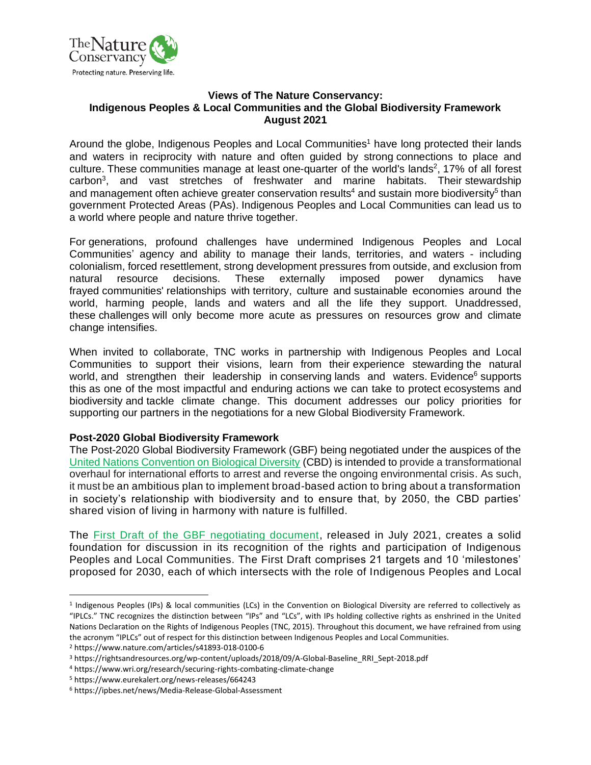

#### **Views of The Nature Conservancy: Indigenous Peoples & Local Communities and the Global Biodiversity Framework August 2021**

Around the globe, Indigenous Peoples and Local Communities<sup>1</sup> have long protected their lands and waters in reciprocity with nature and often guided by strong connections to place and culture. These communities manage at least one-quarter of the world's lands<sup>2</sup>, 17% of all forest carbon<sup>3</sup>, and vast stretches of freshwater and marine habitats. Their stewardship and management often achieve greater conservation results<sup>4</sup> and sustain more biodiversity<sup>5</sup> than government Protected Areas (PAs). Indigenous Peoples and Local Communities can lead us to a world where people and nature thrive together.

For generations, profound challenges have undermined Indigenous Peoples and Local Communities' agency and ability to manage their lands, territories, and waters - including colonialism, forced resettlement, strong development pressures from outside, and exclusion from natural resource decisions. These externally imposed power dynamics have frayed communities' relationships with territory, culture and sustainable economies around the world, harming people, lands and waters and all the life they support. Unaddressed, these challenges will only become more acute as pressures on resources grow and climate change intensifies.

When invited to collaborate, TNC works in partnership with Indigenous Peoples and Local Communities to support their visions, learn from their experience stewarding the natural world, and strengthen their leadership in conserving lands and waters. Evidence<sup>6</sup> supports this as one of the most impactful and enduring actions we can take to protect ecosystems and biodiversity and tackle climate change. This document addresses our policy priorities for supporting our partners in the negotiations for a new Global Biodiversity Framework.

#### **Post-2020 Global Biodiversity Framework**

The Post-2020 Global Biodiversity Framework (GBF) being negotiated under the auspices of the [United Nations Convention on Biological Diversity](https://www.cbd.int/conferences/post2020/wg2020-02/documents) (CBD) is intended to provide a transformational overhaul for international efforts to arrest and reverse the ongoing environmental crisis. As such, it must be an ambitious plan to implement broad-based action to bring about a transformation in society's relationship with biodiversity and to ensure that, by 2050, the CBD parties' shared vision of living in harmony with nature is fulfilled.

The [First Draft of the GBF negotiating document,](https://www.cbd.int/doc/c/abb5/591f/2e46096d3f0330b08ce87a45/wg2020-03-03-en.pdf) released in July 2021, creates a solid foundation for discussion in its recognition of the rights and participation of Indigenous Peoples and Local Communities. The First Draft comprises 21 targets and 10 'milestones' proposed for 2030, each of which intersects with the role of Indigenous Peoples and Local

<sup>1</sup> Indigenous Peoples (IPs) & local communities (LCs) in the Convention on Biological Diversity are referred to collectively as "IPLCs." TNC recognizes the distinction between "IPs" and "LCs", with IPs holding collective rights as enshrined in the United Nations Declaration on the Rights of Indigenous Peoples (TNC, 2015). Throughout this document, we have refrained from using the acronym "IPLCs" out of respect for this distinction between Indigenous Peoples and Local Communities.

<sup>2</sup> https://www.nature.com/articles/s41893-018-0100-6

<sup>&</sup>lt;sup>3</sup> https://rightsandresources.org/wp-content/uploads/2018/09/A-Global-Baseline\_RRI\_Sept-2018.pdf

<sup>4</sup> https://www.wri.org/research/securing-rights-combating-climate-change

<sup>5</sup> https://www.eurekalert.org/news-releases/664243

<sup>6</sup> https://ipbes.net/news/Media-Release-Global-Assessment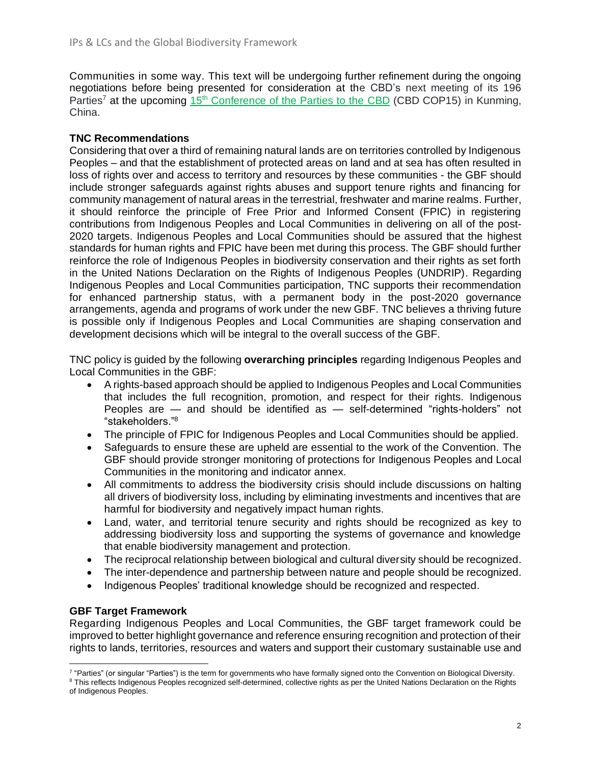Communities in some way. This text will be undergoing further refinement during the ongoing negotiations before being presented for consideration at the CBD's next meeting of its 196 Parties<sup>7</sup> at the upcoming 15<sup>th</sup> [Conference of the Parties to the CBD](https://www.cbd.int/cop/) (CBD COP15) in Kunming, China.

# **TNC Recommendations**

Considering that over a third of remaining natural lands are on territories controlled by Indigenous Peoples – and that the establishment of protected areas on land and at sea has often resulted in loss of rights over and access to territory and resources by these communities - the GBF should include stronger safeguards against rights abuses and support tenure rights and financing for community management of natural areas in the terrestrial, freshwater and marine realms. Further, it should reinforce the principle of Free Prior and Informed Consent (FPIC) in registering contributions from Indigenous Peoples and Local Communities in delivering on all of the post-2020 targets. Indigenous Peoples and Local Communities should be assured that the highest standards for human rights and FPIC have been met during this process. The GBF should further reinforce the role of Indigenous Peoples in biodiversity conservation and their rights as set forth in the United Nations Declaration on the Rights of Indigenous Peoples (UNDRIP). Regarding Indigenous Peoples and Local Communities participation, TNC supports their recommendation for enhanced partnership status, with a permanent body in the post-2020 governance arrangements, agenda and programs of work under the new GBF. TNC believes a thriving future is possible only if Indigenous Peoples and Local Communities are shaping conservation and development decisions which will be integral to the overall success of the GBF.

TNC policy is guided by the following **overarching principles** regarding Indigenous Peoples and Local Communities in the GBF:

- A rights-based approach should be applied to Indigenous Peoples and Local Communities that includes the full recognition, promotion, and respect for their rights. Indigenous Peoples are — and should be identified as — self-determined "rights-holders" not "stakeholders." 8
- The principle of FPIC for Indigenous Peoples and Local Communities should be applied.
- Safeguards to ensure these are upheld are essential to the work of the Convention. The GBF should provide stronger monitoring of protections for Indigenous Peoples and Local Communities in the monitoring and indicator annex.
- All commitments to address the biodiversity crisis should include discussions on halting all drivers of biodiversity loss, including by eliminating investments and incentives that are harmful for biodiversity and negatively impact human rights.
- Land, water, and territorial tenure security and rights should be recognized as key to addressing biodiversity loss and supporting the systems of governance and knowledge that enable biodiversity management and protection.
- The reciprocal relationship between biological and cultural diversity should be recognized.
- The inter-dependence and partnership between nature and people should be recognized.
- Indigenous Peoples' traditional knowledge should be recognized and respected.

# **GBF Target Framework**

Regarding Indigenous Peoples and Local Communities, the GBF target framework could be improved to better highlight governance and reference ensuring recognition and protection of their rights to lands, territories, resources and waters and support their customary sustainable use and

<sup>&</sup>lt;sup>7</sup> "Parties" (or singular "Parties") is the term for governments who have formally signed onto the Convention on Biological Diversity.

<sup>&</sup>lt;sup>8</sup> This reflects Indigenous Peoples recognized self-determined, collective rights as per the United Nations Declaration on the Rights of Indigenous Peoples.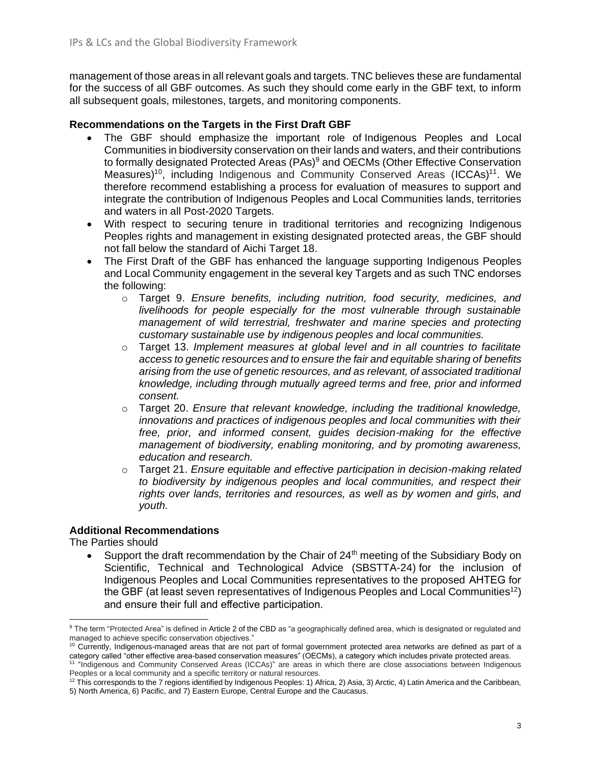management of those areas in all relevant goals and targets. TNC believes these are fundamental for the success of all GBF outcomes. As such they should come early in the GBF text, to inform all subsequent goals, milestones, targets, and monitoring components.

### **Recommendations on the Targets in the First Draft GBF**

- The GBF should emphasize the important role of Indigenous Peoples and Local Communities in biodiversity conservation on their lands and waters, and their contributions to formally designated Protected Areas (PAs)<sup>9</sup> and OECMs (Other Effective Conservation Measures)<sup>10</sup>, including Indigenous and Community Conserved Areas (ICCAs)<sup>11</sup>. We therefore recommend establishing a process for evaluation of measures to support and integrate the contribution of Indigenous Peoples and Local Communities lands, territories and waters in all Post-2020 Targets.
- With respect to securing tenure in traditional territories and recognizing Indigenous Peoples rights and management in existing designated protected areas, the GBF should not fall below the standard of Aichi Target 18.
- The First Draft of the GBF has enhanced the language supporting Indigenous Peoples and Local Community engagement in the several key Targets and as such TNC endorses the following:
	- o Target 9. *Ensure benefits, including nutrition, food security, medicines, and livelihoods for people especially for the most vulnerable through sustainable management of wild terrestrial, freshwater and marine species and protecting customary sustainable use by indigenous peoples and local communities.*
	- o Target 13. *Implement measures at global level and in all countries to facilitate access to genetic resources and to ensure the fair and equitable sharing of benefits arising from the use of genetic resources, and as relevant, of associated traditional knowledge, including through mutually agreed terms and free, prior and informed consent.*
	- o Target 20. *Ensure that relevant knowledge, including the traditional knowledge, innovations and practices of indigenous peoples and local communities with their free, prior, and informed consent, guides decision-making for the effective management of biodiversity, enabling monitoring, and by promoting awareness, education and research.*
	- o Target 21. *Ensure equitable and effective participation in decision-making related to biodiversity by indigenous peoples and local communities, and respect their rights over lands, territories and resources, as well as by women and girls, and youth.*

### **Additional Recommendations**

The Parties should

Support the draft recommendation by the Chair of  $24<sup>th</sup>$  meeting of the Subsidiary Body on Scientific, Technical and Technological Advice (SBSTTA-24) for the inclusion of Indigenous Peoples and Local Communities representatives to the proposed AHTEG for the GBF (at least seven representatives of Indigenous Peoples and Local Communities<sup>12</sup>) and ensure their full and effective participation.

<sup>9</sup> The term "Protected Area" is defined in Article 2 of the CBD as "a geographically defined area, which is designated or regulated and managed to achieve specific conservation objectives."

<sup>10</sup> Currently, Indigenous-managed areas that are not part of formal government protected area networks are defined as part of a category called "other effective area-based conservation measures" (OECMs), a category which includes private protected areas.<br><sup>11</sup> "Indigenous and Community Conserved Areas (ICCAs)" are areas in which there are close asso Peoples or a local community and a specific territory or natural resources.

 $12$  This corresponds to the 7 regions identified by Indigenous Peoples: 1) Africa, 2) Asia, 3) Arctic, 4) Latin America and the Caribbean, 5) North America, 6) Pacific, and 7) Eastern Europe, Central Europe and the Caucasus.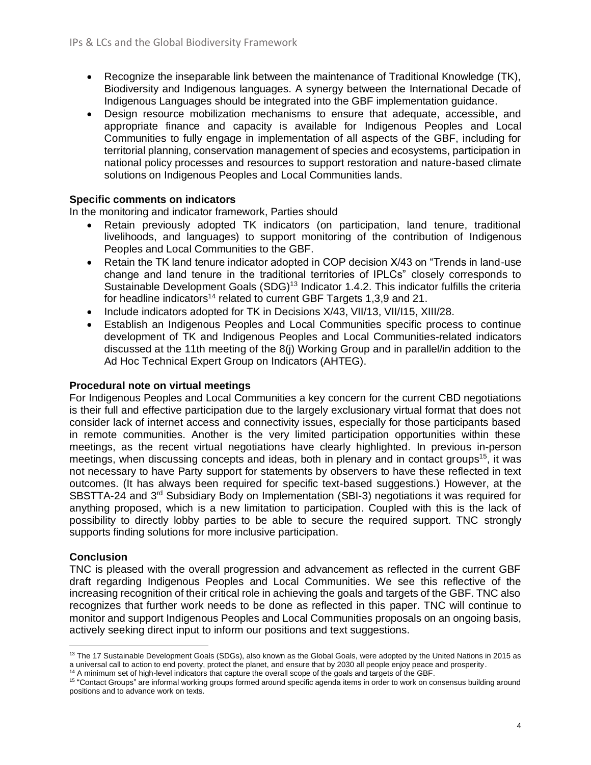- Recognize the inseparable link between the maintenance of Traditional Knowledge (TK), Biodiversity and Indigenous languages. A synergy between the International Decade of Indigenous Languages should be integrated into the GBF implementation guidance.
- Design resource mobilization mechanisms to ensure that adequate, accessible, and appropriate finance and capacity is available for Indigenous Peoples and Local Communities to fully engage in implementation of all aspects of the GBF, including for territorial planning, conservation management of species and ecosystems, participation in national policy processes and resources to support restoration and nature-based climate solutions on Indigenous Peoples and Local Communities lands.

## **Specific comments on indicators**

In the monitoring and indicator framework, Parties should

- Retain previously adopted TK indicators (on participation, land tenure, traditional livelihoods, and languages) to support monitoring of the contribution of Indigenous Peoples and Local Communities to the GBF.
- Retain the TK land tenure indicator adopted in COP decision X/43 on "Trends in land-use change and land tenure in the traditional territories of IPLCs" closely corresponds to Sustainable Development Goals (SDG)<sup>13</sup> Indicator 1.4.2. This indicator fulfills the criteria for headline indicators<sup>14</sup> related to current GBF Targets 1,3,9 and 21.
- Include indicators adopted for TK in Decisions X/43, VII/13, VII/15, XIII/28.
- Establish an Indigenous Peoples and Local Communities specific process to continue development of TK and Indigenous Peoples and Local Communities-related indicators discussed at the 11th meeting of the 8(j) Working Group and in parallel/in addition to the Ad Hoc Technical Expert Group on Indicators (AHTEG).

#### **Procedural note on virtual meetings**

For Indigenous Peoples and Local Communities a key concern for the current CBD negotiations is their full and effective participation due to the largely exclusionary virtual format that does not consider lack of internet access and connectivity issues, especially for those participants based in remote communities. Another is the very limited participation opportunities within these meetings, as the recent virtual negotiations have clearly highlighted. In previous in-person meetings, when discussing concepts and ideas, both in plenary and in contact groups<sup>15</sup>, it was not necessary to have Party support for statements by observers to have these reflected in text outcomes. (It has always been required for specific text-based suggestions.) However, at the SBSTTA-24 and 3<sup>rd</sup> Subsidiary Body on Implementation (SBI-3) negotiations it was required for anything proposed, which is a new limitation to participation. Coupled with this is the lack of possibility to directly lobby parties to be able to secure the required support. TNC strongly supports finding solutions for more inclusive participation.

### **Conclusion**

TNC is pleased with the overall progression and advancement as reflected in the current GBF draft regarding Indigenous Peoples and Local Communities. We see this reflective of the increasing recognition of their critical role in achieving the goals and targets of the GBF. TNC also recognizes that further work needs to be done as reflected in this paper. TNC will continue to monitor and support Indigenous Peoples and Local Communities proposals on an ongoing basis, actively seeking direct input to inform our positions and text suggestions.

<sup>&</sup>lt;sup>13</sup> The 17 Sustainable Development Goals (SDGs), also known as the Global Goals, were adopted by the United Nations in 2015 as a universal call to action to end poverty, protect the planet, and ensure that by 2030 all people enjoy peace and prosperity.

<sup>&</sup>lt;sup>14</sup> A minimum set of high-level indicators that capture the overall scope of the goals and targets of the GBF.

<sup>&</sup>lt;sup>15</sup> "Contact Groups" are informal working groups formed around specific agenda items in order to work on consensus building around positions and to advance work on texts.